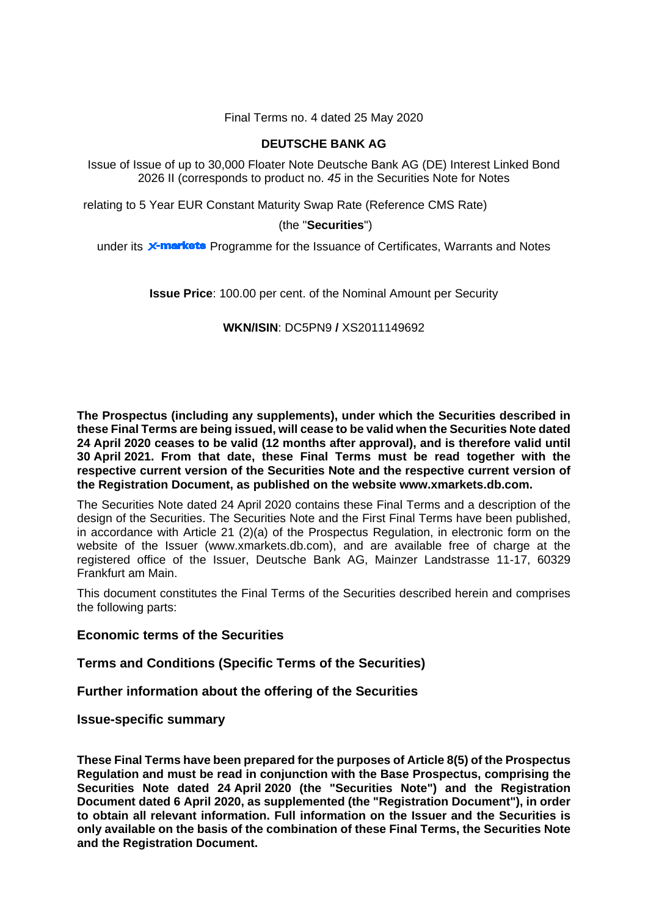Final Terms no. 4 dated 25 May 2020

# **DEUTSCHE BANK AG**

Issue of Issue of up to 30,000 Floater Note Deutsche Bank AG (DE) Interest Linked Bond 2026 II (corresponds to product no. *45* in the Securities Note for Notes

relating to 5 Year EUR Constant Maturity Swap Rate (Reference CMS Rate)

## (the "**Securities**")

under its **X-markets** Programme for the Issuance of Certificates, Warrants and Notes

**Issue Price**: 100.00 per cent. of the Nominal Amount per Security

## **WKN/ISIN**: DC5PN9 **/** XS2011149692

**The Prospectus (including any supplements), under which the Securities described in these Final Terms are being issued, will cease to be valid when the Securities Note dated 24 April 2020 ceases to be valid (12 months after approval), and is therefore valid until 30 April 2021. From that date, these Final Terms must be read together with the respective current version of the Securities Note and the respective current version of the Registration Document, as published on the website [www.xmarkets.db.com.](http://www.xmarkets.db.com/)**

The Securities Note dated 24 April 2020 contains these Final Terms and a description of the design of the Securities. The Securities Note and the First Final Terms have been published, in accordance with Article 21 (2)(a) of the Prospectus Regulation, in electronic form on the website of the Issuer (www.xmarkets.db.com), and are available free of charge at the registered office of the Issuer, Deutsche Bank AG, Mainzer Landstrasse 11-17, 60329 Frankfurt am Main.

This document constitutes the Final Terms of the Securities described herein and comprises the following parts:

## **Economic terms of the Securities**

**Terms and Conditions (Specific Terms of the Securities)**

**Further information about the offering of the Securities**

**Issue-specific summary**

**These Final Terms have been prepared for the purposes of Article 8(5) of the Prospectus Regulation and must be read in conjunction with the Base Prospectus, comprising the Securities Note dated 24 April 2020 (the "Securities Note") and the Registration Document dated 6 April 2020, as supplemented (the "Registration Document"), in order to obtain all relevant information. Full information on the Issuer and the Securities is only available on the basis of the combination of these Final Terms, the Securities Note and the Registration Document.**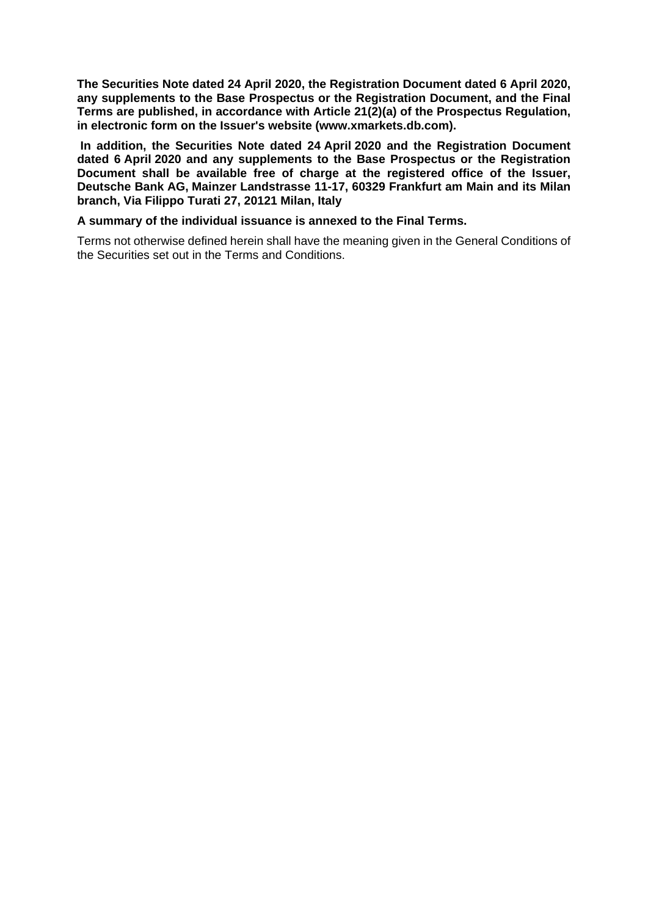**The Securities Note dated 24 April 2020, the Registration Document dated 6 April 2020, any supplements to the Base Prospectus or the Registration Document, and the Final Terms are published, in accordance with Article 21(2)(a) of the Prospectus Regulation, in electronic form on the Issuer's website [\(www.xmarkets.db.com\)](http://www.xmarkets.db.com/).**

**In addition, the Securities Note dated 24 April 2020 and the Registration Document dated 6 April 2020 and any supplements to the Base Prospectus or the Registration Document shall be available free of charge at the registered office of the Issuer, Deutsche Bank AG, Mainzer Landstrasse 11-17, 60329 Frankfurt am Main and its Milan branch, Via Filippo Turati 27, 20121 Milan, Italy**

## **A summary of the individual issuance is annexed to the Final Terms.**

Terms not otherwise defined herein shall have the meaning given in the General Conditions of the Securities set out in the Terms and Conditions.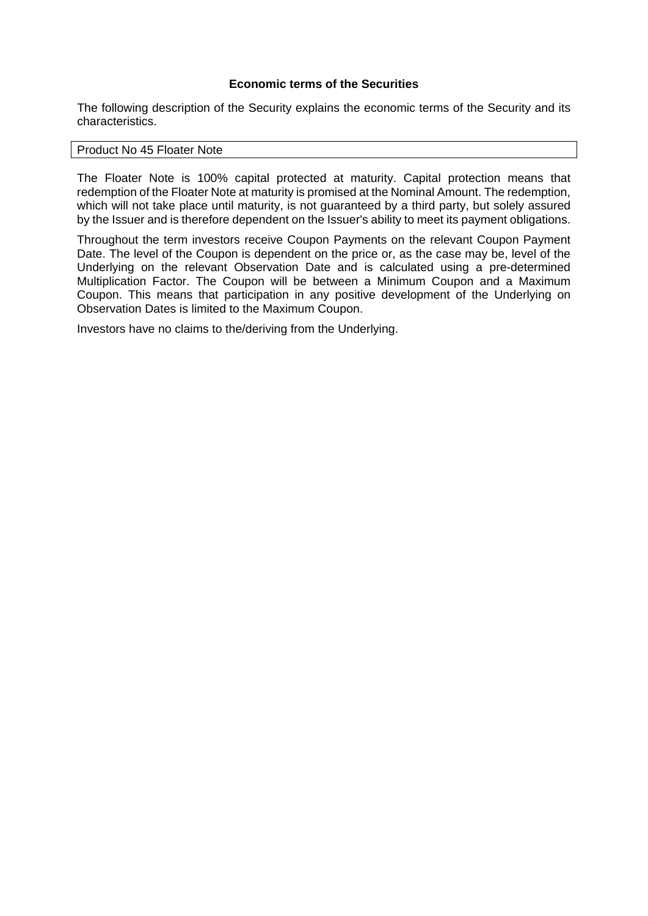## **Economic terms of the Securities**

The following description of the Security explains the economic terms of the Security and its characteristics.

## Product No 45 Floater Note

The Floater Note is 100% capital protected at maturity. Capital protection means that redemption of the Floater Note at maturity is promised at the Nominal Amount. The redemption, which will not take place until maturity, is not guaranteed by a third party, but solely assured by the Issuer and is therefore dependent on the Issuer's ability to meet its payment obligations.

Throughout the term investors receive Coupon Payments on the relevant Coupon Payment Date. The level of the Coupon is dependent on the price or, as the case may be, level of the Underlying on the relevant Observation Date and is calculated using a pre-determined Multiplication Factor. The Coupon will be between a Minimum Coupon and a Maximum Coupon. This means that participation in any positive development of the Underlying on Observation Dates is limited to the Maximum Coupon.

Investors have no claims to the/deriving from the Underlying.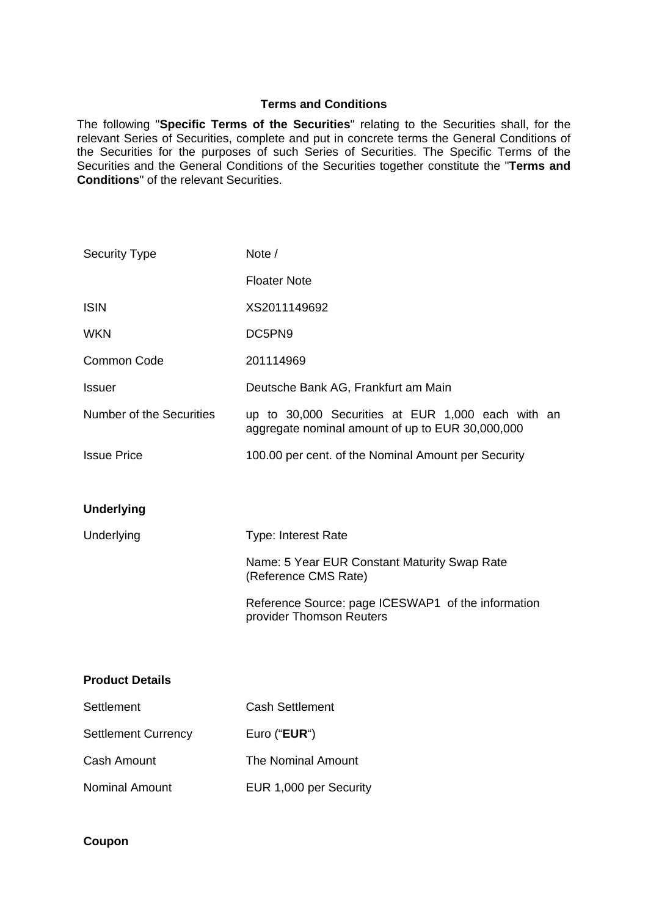## **Terms and Conditions**

The following "**Specific Terms of the Securities**" relating to the Securities shall, for the relevant Series of Securities, complete and put in concrete terms the General Conditions of the Securities for the purposes of such Series of Securities. The Specific Terms of the Securities and the General Conditions of the Securities together constitute the "**Terms and Conditions**" of the relevant Securities.

| <b>Security Type</b>            | Note /                                                                                                |
|---------------------------------|-------------------------------------------------------------------------------------------------------|
|                                 | <b>Floater Note</b>                                                                                   |
| <b>ISIN</b>                     | XS2011149692                                                                                          |
| <b>WKN</b>                      | DC5PN9                                                                                                |
| <b>Common Code</b>              | 201114969                                                                                             |
| <b>Issuer</b>                   | Deutsche Bank AG, Frankfurt am Main                                                                   |
| <b>Number of the Securities</b> | up to 30,000 Securities at EUR 1,000 each with an<br>aggregate nominal amount of up to EUR 30,000,000 |
| <b>Issue Price</b>              | 100.00 per cent. of the Nominal Amount per Security                                                   |
|                                 |                                                                                                       |
| <b>Underlying</b>               |                                                                                                       |
| Underlying                      | <b>Type: Interest Rate</b>                                                                            |
|                                 | Name: 5 Year EUR Constant Maturity Swap Rate<br>(Reference CMS Rate)                                  |
|                                 | Reference Source: page ICESWAP1 of the information<br>provider Thomson Reuters                        |
|                                 |                                                                                                       |
| <b>Product Details</b>          |                                                                                                       |
| Settlement                      | <b>Cash Settlement</b>                                                                                |
| <b>Settlement Currency</b>      | Euro ("EUR")                                                                                          |
| <b>Cash Amount</b>              | The Nominal Amount                                                                                    |
| <b>Nominal Amount</b>           |                                                                                                       |

**Coupon**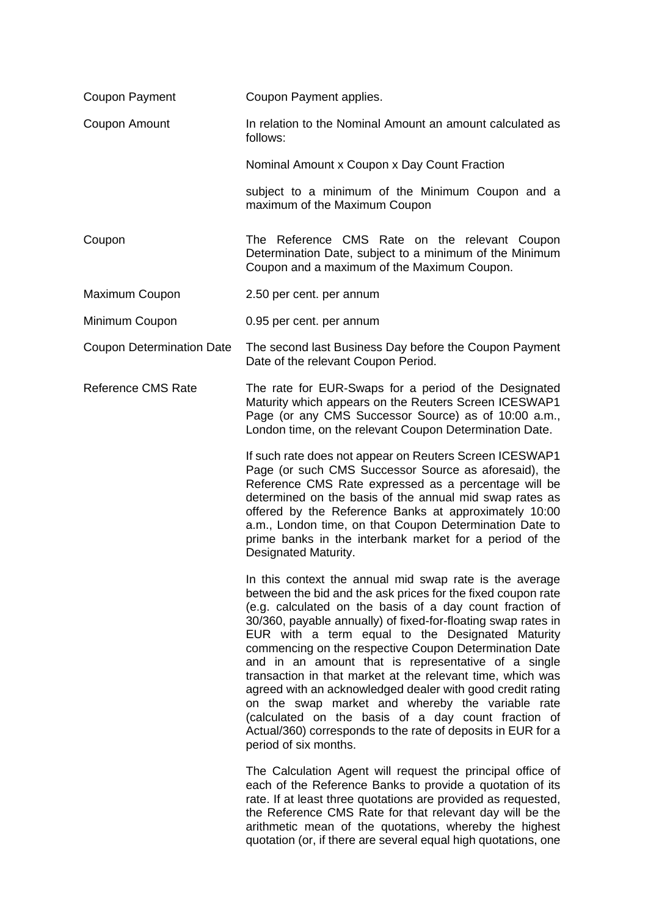| Coupon Payment                   | Coupon Payment applies.                                                                                                                                                                                                                                                                                                                                                                                                                                                                                                                                                                                                                                                                                                                                   |
|----------------------------------|-----------------------------------------------------------------------------------------------------------------------------------------------------------------------------------------------------------------------------------------------------------------------------------------------------------------------------------------------------------------------------------------------------------------------------------------------------------------------------------------------------------------------------------------------------------------------------------------------------------------------------------------------------------------------------------------------------------------------------------------------------------|
| Coupon Amount                    | In relation to the Nominal Amount an amount calculated as<br>follows:                                                                                                                                                                                                                                                                                                                                                                                                                                                                                                                                                                                                                                                                                     |
|                                  | Nominal Amount x Coupon x Day Count Fraction                                                                                                                                                                                                                                                                                                                                                                                                                                                                                                                                                                                                                                                                                                              |
|                                  | subject to a minimum of the Minimum Coupon and a<br>maximum of the Maximum Coupon                                                                                                                                                                                                                                                                                                                                                                                                                                                                                                                                                                                                                                                                         |
| Coupon                           | The Reference CMS Rate on the relevant Coupon<br>Determination Date, subject to a minimum of the Minimum<br>Coupon and a maximum of the Maximum Coupon.                                                                                                                                                                                                                                                                                                                                                                                                                                                                                                                                                                                                   |
| Maximum Coupon                   | 2.50 per cent. per annum                                                                                                                                                                                                                                                                                                                                                                                                                                                                                                                                                                                                                                                                                                                                  |
| Minimum Coupon                   | 0.95 per cent. per annum                                                                                                                                                                                                                                                                                                                                                                                                                                                                                                                                                                                                                                                                                                                                  |
| <b>Coupon Determination Date</b> | The second last Business Day before the Coupon Payment<br>Date of the relevant Coupon Period.                                                                                                                                                                                                                                                                                                                                                                                                                                                                                                                                                                                                                                                             |
| <b>Reference CMS Rate</b>        | The rate for EUR-Swaps for a period of the Designated<br>Maturity which appears on the Reuters Screen ICESWAP1<br>Page (or any CMS Successor Source) as of 10:00 a.m.,<br>London time, on the relevant Coupon Determination Date.                                                                                                                                                                                                                                                                                                                                                                                                                                                                                                                         |
|                                  | If such rate does not appear on Reuters Screen ICESWAP1<br>Page (or such CMS Successor Source as aforesaid), the<br>Reference CMS Rate expressed as a percentage will be<br>determined on the basis of the annual mid swap rates as<br>offered by the Reference Banks at approximately 10:00<br>a.m., London time, on that Coupon Determination Date to<br>prime banks in the interbank market for a period of the<br>Designated Maturity.                                                                                                                                                                                                                                                                                                                |
|                                  | In this context the annual mid swap rate is the average<br>between the bid and the ask prices for the fixed coupon rate<br>(e.g. calculated on the basis of a day count fraction of<br>30/360, payable annually) of fixed-for-floating swap rates in<br>EUR with a term equal to the Designated Maturity<br>commencing on the respective Coupon Determination Date<br>and in an amount that is representative of a single<br>transaction in that market at the relevant time, which was<br>agreed with an acknowledged dealer with good credit rating<br>on the swap market and whereby the variable rate<br>(calculated on the basis of a day count fraction of<br>Actual/360) corresponds to the rate of deposits in EUR for a<br>period of six months. |
|                                  | The Calculation Agent will request the principal office of<br>each of the Reference Banks to provide a quotation of its<br>rate. If at least three quotations are provided as requested,<br>the Reference CMS Rate for that relevant day will be the<br>arithmetic mean of the quotations, whereby the highest<br>quotation (or, if there are several equal high quotations, one                                                                                                                                                                                                                                                                                                                                                                          |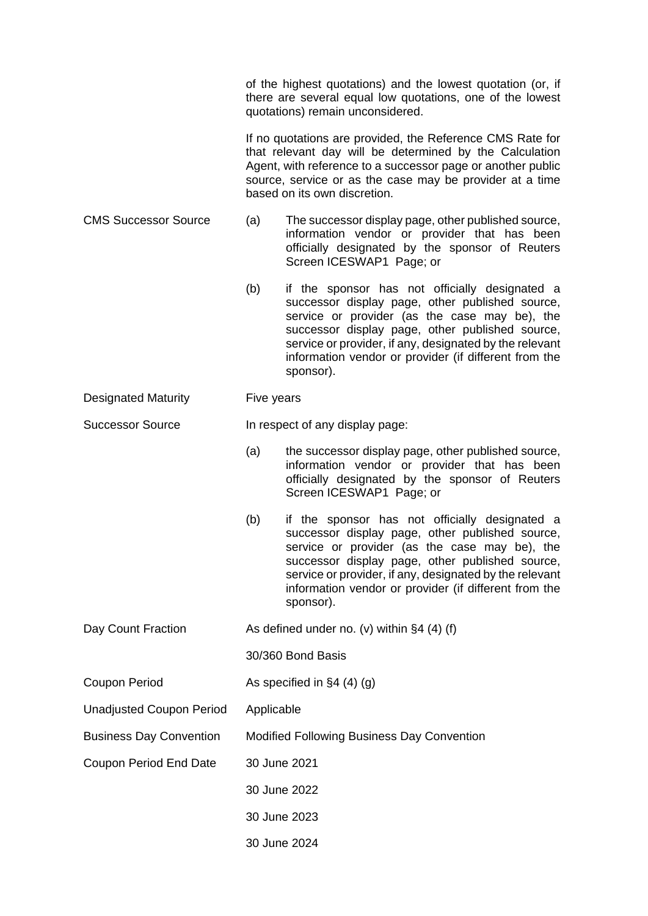|                                 | of the highest quotations) and the lowest quotation (or, if<br>there are several equal low quotations, one of the lowest<br>quotations) remain unconsidered. |                                                                                                                                                                                                                                                                                                                                        |  |
|---------------------------------|--------------------------------------------------------------------------------------------------------------------------------------------------------------|----------------------------------------------------------------------------------------------------------------------------------------------------------------------------------------------------------------------------------------------------------------------------------------------------------------------------------------|--|
|                                 |                                                                                                                                                              | If no quotations are provided, the Reference CMS Rate for<br>that relevant day will be determined by the Calculation<br>Agent, with reference to a successor page or another public<br>source, service or as the case may be provider at a time<br>based on its own discretion.                                                        |  |
| <b>CMS Successor Source</b>     | (a)                                                                                                                                                          | The successor display page, other published source,<br>information vendor or provider that has been<br>officially designated by the sponsor of Reuters<br>Screen ICESWAP1 Page; or                                                                                                                                                     |  |
|                                 | (b)                                                                                                                                                          | if the sponsor has not officially designated a<br>successor display page, other published source,<br>service or provider (as the case may be), the<br>successor display page, other published source,<br>service or provider, if any, designated by the relevant<br>information vendor or provider (if different from the<br>sponsor). |  |
| <b>Designated Maturity</b>      | Five years                                                                                                                                                   |                                                                                                                                                                                                                                                                                                                                        |  |
| <b>Successor Source</b>         | In respect of any display page:                                                                                                                              |                                                                                                                                                                                                                                                                                                                                        |  |
|                                 | (a)                                                                                                                                                          | the successor display page, other published source,<br>information vendor or provider that has been<br>officially designated by the sponsor of Reuters<br>Screen ICESWAP1 Page; or                                                                                                                                                     |  |
|                                 | (b)                                                                                                                                                          | if the sponsor has not officially designated a<br>successor display page, other published source,<br>service or provider (as the case may be), the<br>successor display page, other published source,<br>service or provider, if any, designated by the relevant<br>information vendor or provider (if different from the<br>sponsor). |  |
| Day Count Fraction              |                                                                                                                                                              | As defined under no. (v) within $\S 4$ (4) (f)                                                                                                                                                                                                                                                                                         |  |
|                                 |                                                                                                                                                              | 30/360 Bond Basis                                                                                                                                                                                                                                                                                                                      |  |
| <b>Coupon Period</b>            | As specified in $\S4(4)(g)$                                                                                                                                  |                                                                                                                                                                                                                                                                                                                                        |  |
| <b>Unadjusted Coupon Period</b> | Applicable                                                                                                                                                   |                                                                                                                                                                                                                                                                                                                                        |  |
| <b>Business Day Convention</b>  | Modified Following Business Day Convention                                                                                                                   |                                                                                                                                                                                                                                                                                                                                        |  |
| <b>Coupon Period End Date</b>   | 30 June 2021                                                                                                                                                 |                                                                                                                                                                                                                                                                                                                                        |  |
|                                 | 30 June 2022                                                                                                                                                 |                                                                                                                                                                                                                                                                                                                                        |  |
|                                 | 30 June 2023                                                                                                                                                 |                                                                                                                                                                                                                                                                                                                                        |  |
|                                 |                                                                                                                                                              | 30 June 2024                                                                                                                                                                                                                                                                                                                           |  |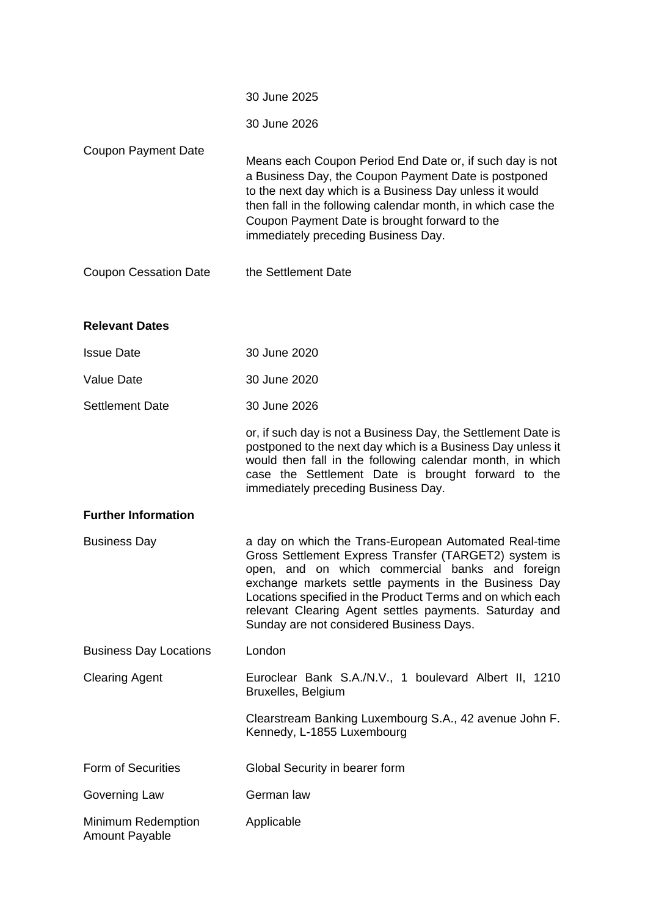|                                             | 30 June 2025                                                                                                                                                                                                                                                                                                                                                                                  |
|---------------------------------------------|-----------------------------------------------------------------------------------------------------------------------------------------------------------------------------------------------------------------------------------------------------------------------------------------------------------------------------------------------------------------------------------------------|
|                                             | 30 June 2026                                                                                                                                                                                                                                                                                                                                                                                  |
| <b>Coupon Payment Date</b>                  | Means each Coupon Period End Date or, if such day is not<br>a Business Day, the Coupon Payment Date is postponed<br>to the next day which is a Business Day unless it would<br>then fall in the following calendar month, in which case the<br>Coupon Payment Date is brought forward to the<br>immediately preceding Business Day.                                                           |
| <b>Coupon Cessation Date</b>                | the Settlement Date                                                                                                                                                                                                                                                                                                                                                                           |
| <b>Relevant Dates</b>                       |                                                                                                                                                                                                                                                                                                                                                                                               |
| <b>Issue Date</b>                           | 30 June 2020                                                                                                                                                                                                                                                                                                                                                                                  |
| <b>Value Date</b>                           | 30 June 2020                                                                                                                                                                                                                                                                                                                                                                                  |
| <b>Settlement Date</b>                      | 30 June 2026                                                                                                                                                                                                                                                                                                                                                                                  |
|                                             | or, if such day is not a Business Day, the Settlement Date is<br>postponed to the next day which is a Business Day unless it<br>would then fall in the following calendar month, in which<br>case the Settlement Date is brought forward to the<br>immediately preceding Business Day.                                                                                                        |
| <b>Further Information</b>                  |                                                                                                                                                                                                                                                                                                                                                                                               |
| <b>Business Day</b>                         | a day on which the Trans-European Automated Real-time<br>Gross Settlement Express Transfer (TARGET2) system is<br>open, and on which commercial banks and foreign<br>exchange markets settle payments in the Business Day<br>Locations specified in the Product Terms and on which each<br>relevant Clearing Agent settles payments. Saturday and<br>Sunday are not considered Business Days. |
| <b>Business Day Locations</b>               | London                                                                                                                                                                                                                                                                                                                                                                                        |
| <b>Clearing Agent</b>                       | Euroclear Bank S.A./N.V., 1 boulevard Albert II, 1210<br>Bruxelles, Belgium                                                                                                                                                                                                                                                                                                                   |
|                                             | Clearstream Banking Luxembourg S.A., 42 avenue John F.<br>Kennedy, L-1855 Luxembourg                                                                                                                                                                                                                                                                                                          |
| <b>Form of Securities</b>                   | Global Security in bearer form                                                                                                                                                                                                                                                                                                                                                                |
| Governing Law                               | German law                                                                                                                                                                                                                                                                                                                                                                                    |
| Minimum Redemption<br><b>Amount Payable</b> | Applicable                                                                                                                                                                                                                                                                                                                                                                                    |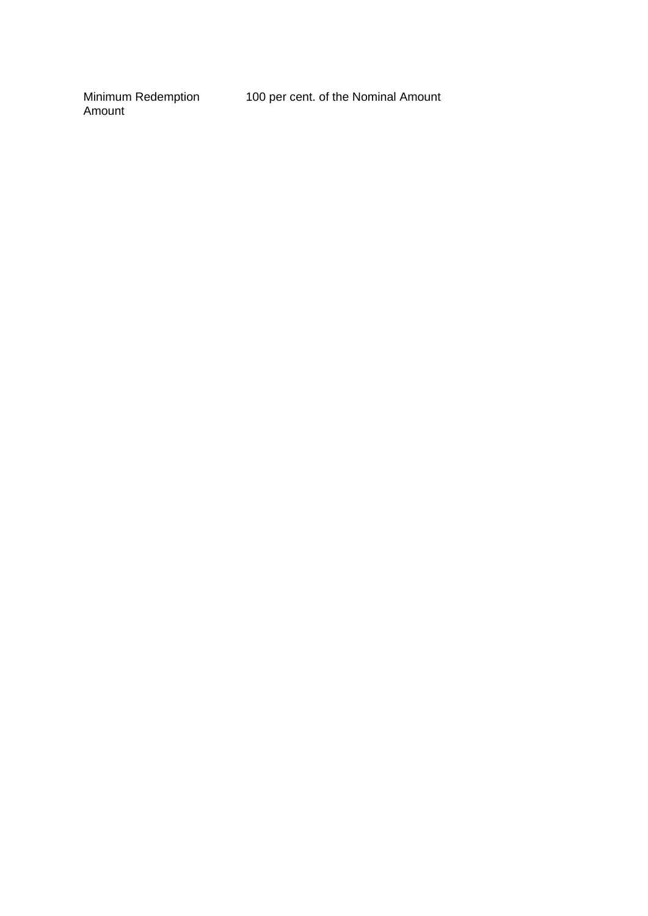Minimum Redemption Amount

100 per cent. of the Nominal Amount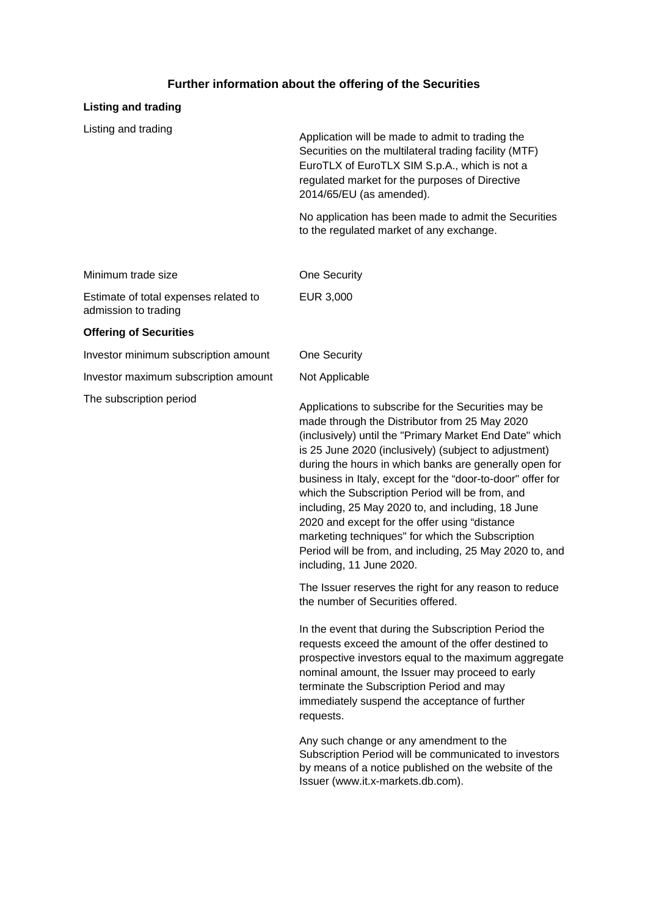## **Further information about the offering of the Securities**

### **Listing and trading**

Listing and trading

| Application will be made to admit to trading the<br>Securities on the multilateral trading facility (MTF)<br>EuroTLX of EuroTLX SIM S.p.A., which is not a<br>regulated market for the purposes of Directive<br>2014/65/EU (as amended). |
|------------------------------------------------------------------------------------------------------------------------------------------------------------------------------------------------------------------------------------------|
| No application has been made to admit the Securities<br>to the regulated market of any exchange.                                                                                                                                         |

| Minimum trade size                    | One Security |
|---------------------------------------|--------------|
| Estimate of total expenses related to | EUR 3.000    |
| admission to trading                  |              |

### **Offering of Securities**

Investor minimum subscription amount One Security

Investor maximum subscription amount Not Applicable

The subscription period<br>
Applications to subscribe for the Securities may be made through the Distributor from 25 May 2020 (inclusively) until the "Primary Market End Date" which is 25 June 2020 (inclusively) (subject to adjustment) during the hours in which banks are generally open for business in Italy, except for the "door-to-door" offer for which the Subscription Period will be from, and including, 25 May 2020 to, and including, 18 June 2020 and except for the offer using "distance marketing techniques" for which the Subscription Period will be from, and including, 25 May 2020 to, and including, 11 June 2020.

> The Issuer reserves the right for any reason to reduce the number of Securities offered.

In the event that during the Subscription Period the requests exceed the amount of the offer destined to prospective investors equal to the maximum aggregate nominal amount, the Issuer may proceed to early terminate the Subscription Period and may immediately suspend the acceptance of further requests.

Any such change or any amendment to the Subscription Period will be communicated to investors by means of a notice published on the website of the Issuer [\(www.it.x-markets.db.com\)](http://www.it.x-markets.db.com)/).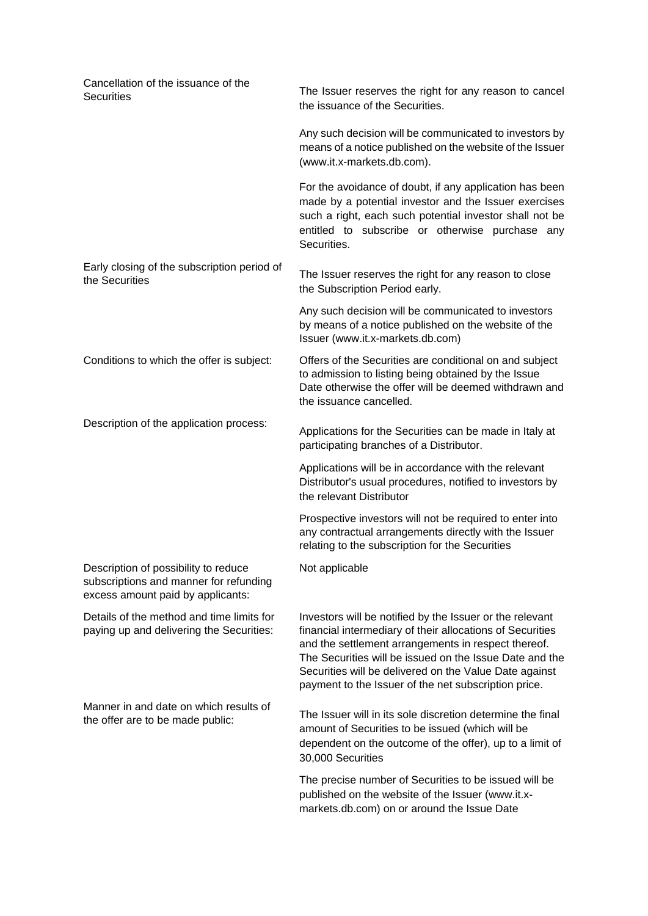| Cancellation of the issuance of the<br><b>Securities</b>                                                            | The Issuer reserves the right for any reason to cancel<br>the issuance of the Securities.                                                                                                                                                                                                                                                                 |
|---------------------------------------------------------------------------------------------------------------------|-----------------------------------------------------------------------------------------------------------------------------------------------------------------------------------------------------------------------------------------------------------------------------------------------------------------------------------------------------------|
|                                                                                                                     | Any such decision will be communicated to investors by<br>means of a notice published on the website of the Issuer<br>(www.it.x-markets.db.com).                                                                                                                                                                                                          |
|                                                                                                                     | For the avoidance of doubt, if any application has been<br>made by a potential investor and the Issuer exercises<br>such a right, each such potential investor shall not be<br>entitled to subscribe or otherwise purchase any<br>Securities.                                                                                                             |
| Early closing of the subscription period of<br>the Securities                                                       | The Issuer reserves the right for any reason to close<br>the Subscription Period early.                                                                                                                                                                                                                                                                   |
|                                                                                                                     | Any such decision will be communicated to investors<br>by means of a notice published on the website of the<br>Issuer (www.it.x-markets.db.com)                                                                                                                                                                                                           |
| Conditions to which the offer is subject:                                                                           | Offers of the Securities are conditional on and subject<br>to admission to listing being obtained by the Issue<br>Date otherwise the offer will be deemed withdrawn and<br>the issuance cancelled.                                                                                                                                                        |
| Description of the application process:                                                                             | Applications for the Securities can be made in Italy at<br>participating branches of a Distributor.                                                                                                                                                                                                                                                       |
|                                                                                                                     | Applications will be in accordance with the relevant<br>Distributor's usual procedures, notified to investors by<br>the relevant Distributor                                                                                                                                                                                                              |
|                                                                                                                     | Prospective investors will not be required to enter into<br>any contractual arrangements directly with the Issuer<br>relating to the subscription for the Securities                                                                                                                                                                                      |
| Description of possibility to reduce<br>subscriptions and manner for refunding<br>excess amount paid by applicants: | Not applicable                                                                                                                                                                                                                                                                                                                                            |
| Details of the method and time limits for<br>paying up and delivering the Securities:                               | Investors will be notified by the Issuer or the relevant<br>financial intermediary of their allocations of Securities<br>and the settlement arrangements in respect thereof.<br>The Securities will be issued on the Issue Date and the<br>Securities will be delivered on the Value Date against<br>payment to the Issuer of the net subscription price. |
| Manner in and date on which results of<br>the offer are to be made public:                                          | The Issuer will in its sole discretion determine the final<br>amount of Securities to be issued (which will be<br>dependent on the outcome of the offer), up to a limit of<br>30,000 Securities                                                                                                                                                           |
|                                                                                                                     | The precise number of Securities to be issued will be<br>published on the website of the Issuer (www.it.x-<br>markets.db.com) on or around the Issue Date                                                                                                                                                                                                 |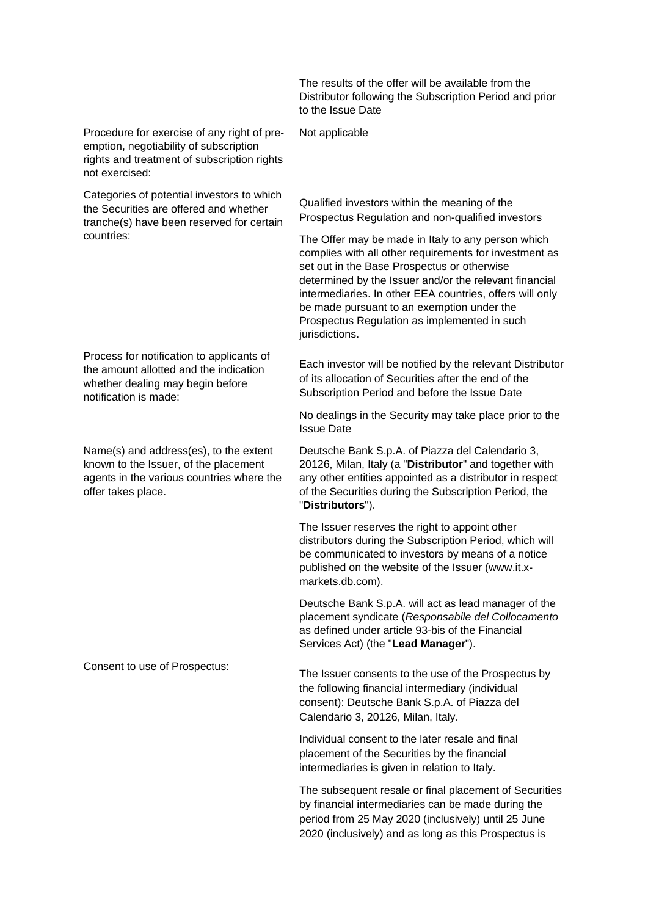Procedure for exercise of any right of preemption, negotiability of subscription rights and treatment of subscription rights not exercised:

Categories of potential investors to which the Securities are offered and whether tranche(s) have been reserved for certain countries:

Process for notification to applicants of the amount allotted and the indication whether dealing may begin before notification is made:

Name(s) and address(es), to the extent known to the Issuer, of the placement agents in the various countries where the offer takes place.

The results of the offer will be available from the Distributor following the Subscription Period and prior to the Issue Date

Not applicable

Qualified investors within the meaning of the Prospectus Regulation and non-qualified investors

The Offer may be made in Italy to any person which complies with all other requirements for investment as set out in the Base Prospectus or otherwise determined by the Issuer and/or the relevant financial intermediaries. In other EEA countries, offers will only be made pursuant to an exemption under the Prospectus Regulation as implemented in such jurisdictions.

Each investor will be notified by the relevant Distributor of its allocation of Securities after the end of the Subscription Period and before the Issue Date

No dealings in the Security may take place prior to the Issue Date

Deutsche Bank S.p.A. of Piazza del Calendario 3, 20126, Milan, Italy (a "**Distributor**" and together with any other entities appointed as a distributor in respect of the Securities during the Subscription Period, the "**Distributors**").

The Issuer reserves the right to appoint other distributors during the Subscription Period, which will be communicated to investors by means of a notice published on the website of the Issuer (www.it.xmarkets.db.com).

Deutsche Bank S.p.A. will act as lead manager of the placement syndicate (*Responsabile del Collocamento* as defined under article 93-bis of the Financial Services Act) (the "**Lead Manager**").

Consent to use of Prospectus: The Issuer consents to the use of the Prospectus by the following financial intermediary (individual consent): Deutsche Bank S.p.A. of Piazza del Calendario 3, 20126, Milan, Italy.

> Individual consent to the later resale and final placement of the Securities by the financial intermediaries is given in relation to Italy.

The subsequent resale or final placement of Securities by financial intermediaries can be made during the period from 25 May 2020 (inclusively) until 25 June 2020 (inclusively) and as long as this Prospectus is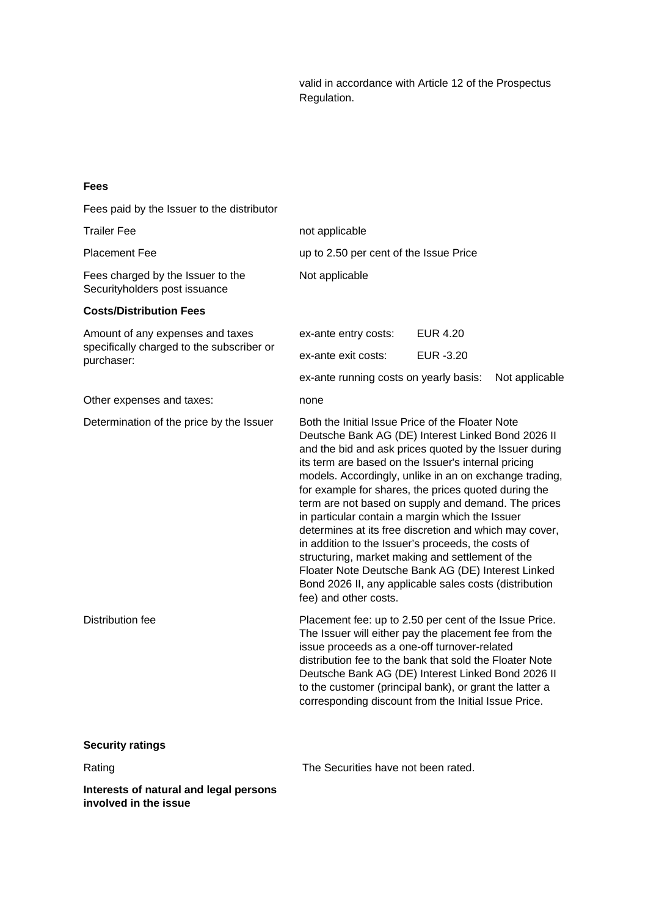valid in accordance with Article 12 of the Prospectus Regulation.

## **Fees**

Fees paid by the Issuer to the distributor

| <b>Trailer Fee</b>                                                 | not applicable                                                                                                                                                                                                                                                                                                                                                                                                                                                                                                                                                                                                                                                                                                                                                   |                 |                |
|--------------------------------------------------------------------|------------------------------------------------------------------------------------------------------------------------------------------------------------------------------------------------------------------------------------------------------------------------------------------------------------------------------------------------------------------------------------------------------------------------------------------------------------------------------------------------------------------------------------------------------------------------------------------------------------------------------------------------------------------------------------------------------------------------------------------------------------------|-----------------|----------------|
| <b>Placement Fee</b>                                               | up to 2.50 per cent of the Issue Price                                                                                                                                                                                                                                                                                                                                                                                                                                                                                                                                                                                                                                                                                                                           |                 |                |
| Fees charged by the Issuer to the<br>Securityholders post issuance | Not applicable                                                                                                                                                                                                                                                                                                                                                                                                                                                                                                                                                                                                                                                                                                                                                   |                 |                |
| <b>Costs/Distribution Fees</b>                                     |                                                                                                                                                                                                                                                                                                                                                                                                                                                                                                                                                                                                                                                                                                                                                                  |                 |                |
| Amount of any expenses and taxes                                   | ex-ante entry costs:                                                                                                                                                                                                                                                                                                                                                                                                                                                                                                                                                                                                                                                                                                                                             | <b>EUR 4.20</b> |                |
| specifically charged to the subscriber or<br>purchaser:            | ex-ante exit costs:                                                                                                                                                                                                                                                                                                                                                                                                                                                                                                                                                                                                                                                                                                                                              | EUR -3.20       |                |
|                                                                    | ex-ante running costs on yearly basis:                                                                                                                                                                                                                                                                                                                                                                                                                                                                                                                                                                                                                                                                                                                           |                 | Not applicable |
| Other expenses and taxes:                                          | none                                                                                                                                                                                                                                                                                                                                                                                                                                                                                                                                                                                                                                                                                                                                                             |                 |                |
| Determination of the price by the Issuer                           | Both the Initial Issue Price of the Floater Note<br>Deutsche Bank AG (DE) Interest Linked Bond 2026 II<br>and the bid and ask prices quoted by the Issuer during<br>its term are based on the Issuer's internal pricing<br>models. Accordingly, unlike in an on exchange trading,<br>for example for shares, the prices quoted during the<br>term are not based on supply and demand. The prices<br>in particular contain a margin which the Issuer<br>determines at its free discretion and which may cover,<br>in addition to the Issuer's proceeds, the costs of<br>structuring, market making and settlement of the<br>Floater Note Deutsche Bank AG (DE) Interest Linked<br>Bond 2026 II, any applicable sales costs (distribution<br>fee) and other costs. |                 |                |
| <b>Distribution fee</b>                                            | Placement fee: up to 2.50 per cent of the Issue Price.<br>The Issuer will either pay the placement fee from the<br>issue proceeds as a one-off turnover-related<br>distribution fee to the bank that sold the Floater Note<br>Deutsche Bank AG (DE) Interest Linked Bond 2026 II<br>to the customer (principal bank), or grant the latter a<br>corresponding discount from the Initial Issue Price.                                                                                                                                                                                                                                                                                                                                                              |                 |                |
| <b>Security ratings</b>                                            |                                                                                                                                                                                                                                                                                                                                                                                                                                                                                                                                                                                                                                                                                                                                                                  |                 |                |
| Rating                                                             | The Securities have not been rated.                                                                                                                                                                                                                                                                                                                                                                                                                                                                                                                                                                                                                                                                                                                              |                 |                |
| Interests of natural and legal persons                             |                                                                                                                                                                                                                                                                                                                                                                                                                                                                                                                                                                                                                                                                                                                                                                  |                 |                |

**involved in the issue**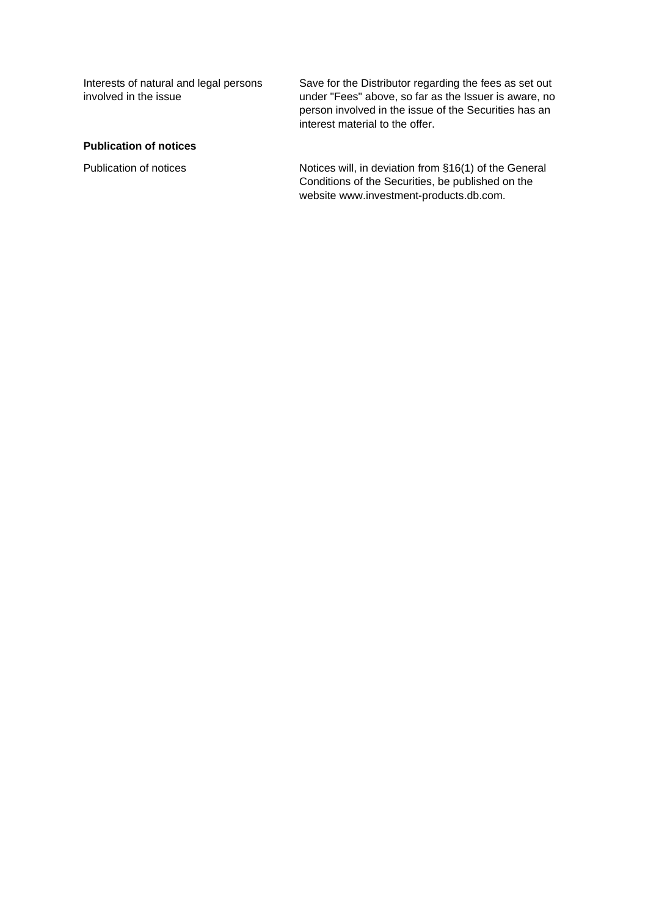Interests of natural and legal persons involved in the issue

Save for the Distributor regarding the fees as set out under "Fees" above, so far as the Issuer is aware, no person involved in the issue of the Securities has an interest material to the offer.

## **Publication of notices**

Publication of notices **Notices** Notices will, in deviation from §16(1) of the General Conditions of the Securities, be published on the website www.investment-products.db.com.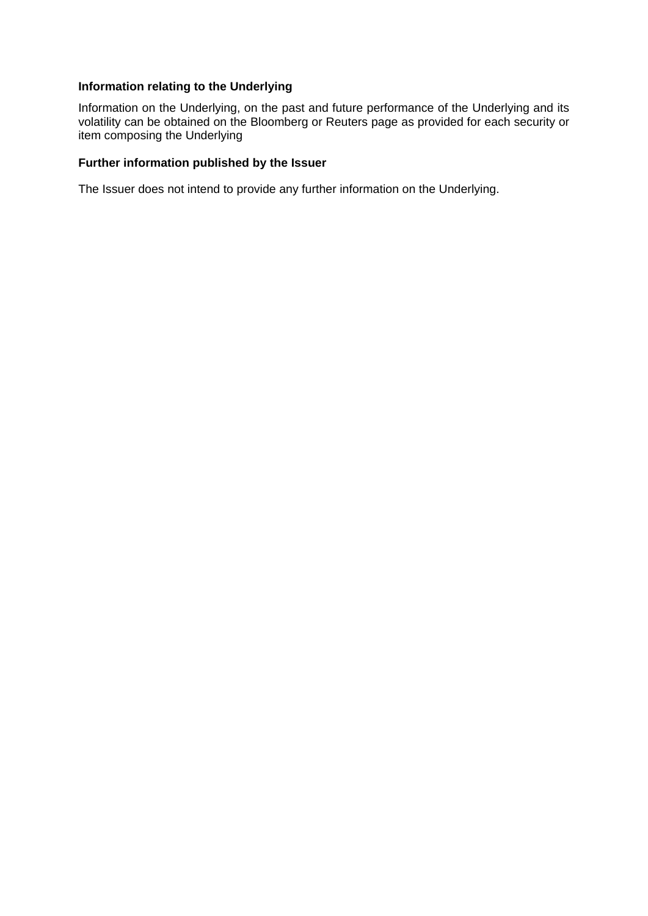## **Information relating to the Underlying**

Information on the Underlying, on the past and future performance of the Underlying and its volatility can be obtained on the Bloomberg or Reuters page as provided for each security or item composing the Underlying

## **Further information published by the Issuer**

The Issuer does not intend to provide any further information on the Underlying.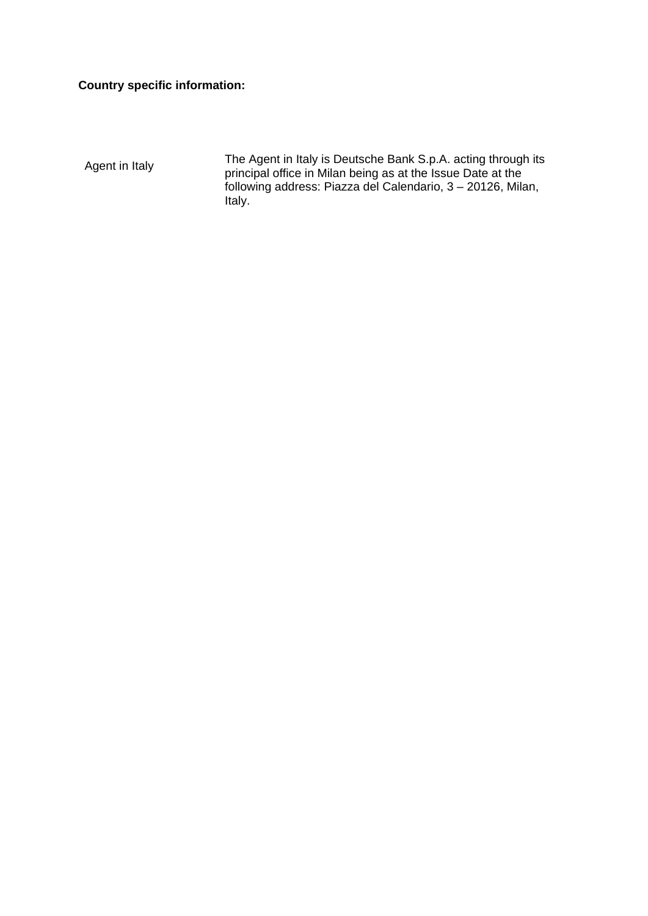# **Country specific information:**

Agent in Italy The Agent in Italy is Deutsche Bank S.p.A. acting through its principal office in Milan being as at the Issue Date at the following address: Piazza del Calendario, 3 – 20126, Milan, Italy.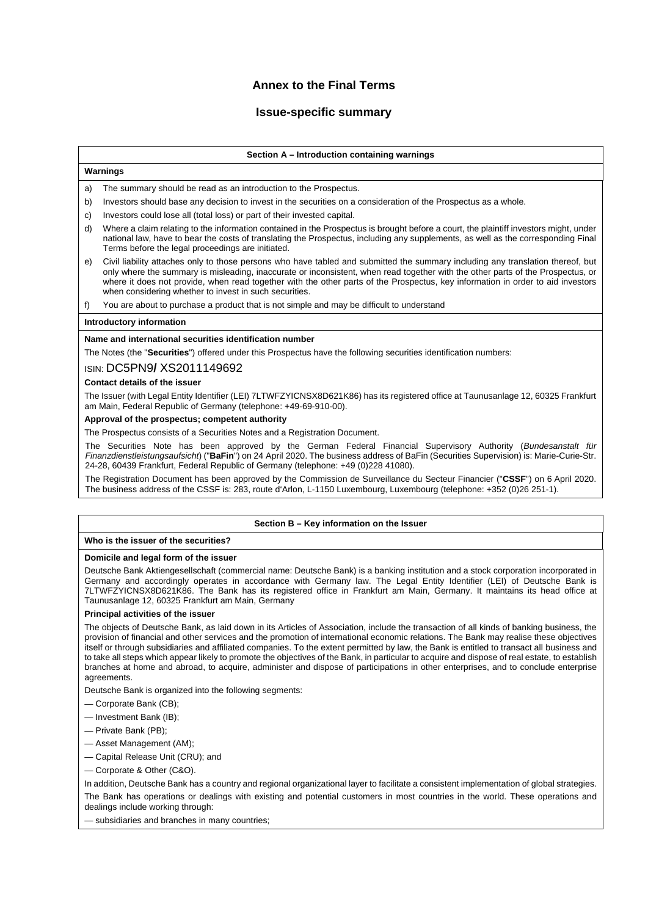## **Annex to the Final Terms**

## **Issue-specific summary**

### **Section A – Introduction containing warnings**

### **Warnings**

- a) The summary should be read as an introduction to the Prospectus.
- b) Investors should base any decision to invest in the securities on a consideration of the Prospectus as a whole.
- c) Investors could lose all (total loss) or part of their invested capital.
- d) Where a claim relating to the information contained in the Prospectus is brought before a court, the plaintiff investors might, under national law, have to bear the costs of translating the Prospectus, including any supplements, as well as the corresponding Final Terms before the legal proceedings are initiated.
- e) Civil liability attaches only to those persons who have tabled and submitted the summary including any translation thereof, but only where the summary is misleading, inaccurate or inconsistent, when read together with the other parts of the Prospectus, or where it does not provide, when read together with the other parts of the Prospectus, key information in order to aid investors when considering whether to invest in such securities.

f) You are about to purchase a product that is not simple and may be difficult to understand

#### **Introductory information**

#### **Name and international securities identification number**

The Notes (the "**Securities**") offered under this Prospectus have the following securities identification numbers:

### ISIN: DC5PN9**/** XS2011149692

#### **Contact details of the issuer**

The Issuer (with Legal Entity Identifier (LEI) 7LTWFZYICNSX8D621K86) has its registered office at Taunusanlage 12, 60325 Frankfurt am Main, Federal Republic of Germany (telephone: +49-69-910-00).

### **Approval of the prospectus; competent authority**

The Prospectus consists of a Securities Notes and a Registration Document.

The Securities Note has been approved by the German Federal Financial Supervisory Authority (*Bundesanstalt für Finanzdienstleistungsaufsicht*) ("**BaFin**") on 24 April 2020. The business address of BaFin (Securities Supervision) is: Marie-Curie-Str. 24-28, 60439 Frankfurt, Federal Republic of Germany (telephone: +49 (0)228 41080).

The Registration Document has been approved by the Commission de Surveillance du Secteur Financier ("**CSSF**") on 6 April 2020. The business address of the CSSF is: 283, route d'Arlon, L-1150 Luxembourg, Luxembourg (telephone: +352 (0)26 251-1).

#### **Section B – Key information on the Issuer**

### **Who is the issuer of the securities?**

#### **Domicile and legal form of the issuer**

Deutsche Bank Aktiengesellschaft (commercial name: Deutsche Bank) is a banking institution and a stock corporation incorporated in Germany and accordingly operates in accordance with Germany law. The Legal Entity Identifier (LEI) of Deutsche Bank is 7LTWFZYICNSX8D621K86. The Bank has its registered office in Frankfurt am Main, Germany. It maintains its head office at Taunusanlage 12, 60325 Frankfurt am Main, Germany

### **Principal activities of the issuer**

The objects of Deutsche Bank, as laid down in its Articles of Association, include the transaction of all kinds of banking business, the provision of financial and other services and the promotion of international economic relations. The Bank may realise these objectives itself or through subsidiaries and affiliated companies. To the extent permitted by law, the Bank is entitled to transact all business and to take all steps which appear likely to promote the objectives of the Bank, in particular to acquire and dispose of real estate, to establish branches at home and abroad, to acquire, administer and dispose of participations in other enterprises, and to conclude enterprise agreements.

Deutsche Bank is organized into the following segments:

- Corporate Bank (CB);
- Investment Bank (IB);
- Private Bank (PB);
- Asset Management (AM);
- Capital Release Unit (CRU); and
- Corporate & Other (C&O).

In addition, Deutsche Bank has a country and regional organizational layer to facilitate a consistent implementation of global strategies.

The Bank has operations or dealings with existing and potential customers in most countries in the world. These operations and dealings include working through:

— subsidiaries and branches in many countries;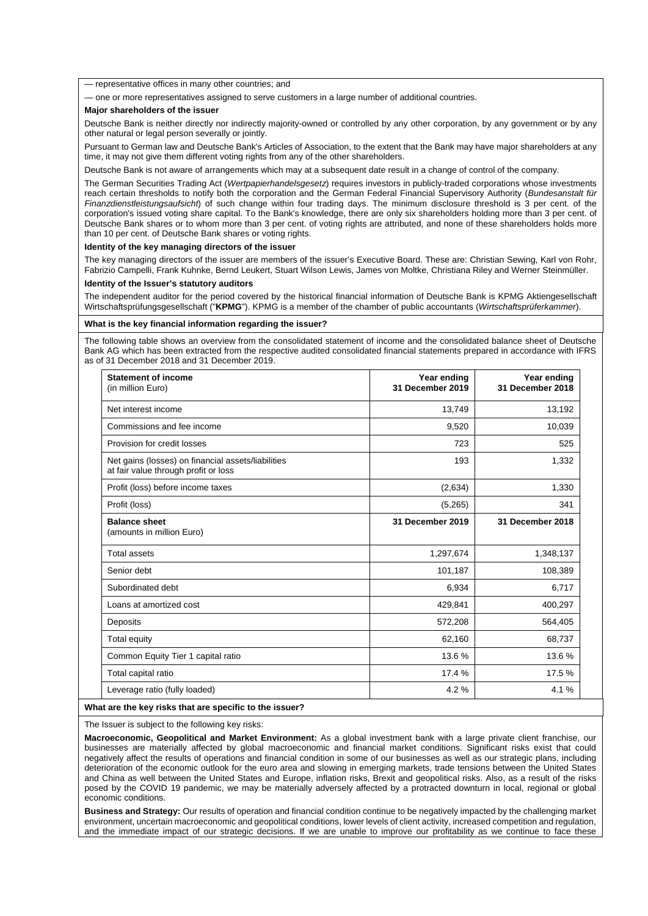— representative offices in many other countries; and

— one or more representatives assigned to serve customers in a large number of additional countries.

#### **Major shareholders of the issuer**

Deutsche Bank is neither directly nor indirectly majority-owned or controlled by any other corporation, by any government or by any other natural or legal person severally or jointly.

Pursuant to German law and Deutsche Bank's Articles of Association, to the extent that the Bank may have major shareholders at any time, it may not give them different voting rights from any of the other shareholders.

Deutsche Bank is not aware of arrangements which may at a subsequent date result in a change of control of the company.

The German Securities Trading Act (*Wertpapierhandelsgesetz*) requires investors in publicly-traded corporations whose investments reach certain thresholds to notify both the corporation and the German Federal Financial Supervisory Authority (*Bundesanstalt für Finanzdienstleistungsaufsicht*) of such change within four trading days. The minimum disclosure threshold is 3 per cent. of the corporation's issued voting share capital. To the Bank's knowledge, there are only six shareholders holding more than 3 per cent. of Deutsche Bank shares or to whom more than 3 per cent. of voting rights are attributed, and none of these shareholders holds more than 10 per cent. of Deutsche Bank shares or voting rights.

#### **Identity of the key managing directors of the issuer**

The key managing directors of the issuer are members of the issuer's Executive Board. These are: Christian Sewing, Karl von Rohr, Fabrizio Campelli, Frank Kuhnke, Bernd Leukert, Stuart Wilson Lewis, James von Moltke, Christiana Riley and Werner Steinmüller.

#### **Identity of the Issuer's statutory auditors**

The independent auditor for the period covered by the historical financial information of Deutsche Bank is KPMG Aktiengesellschaft Wirtschaftsprüfungsgesellschaft ("**KPMG**"). KPMG is a member of the chamber of public accountants (*Wirtschaftsprüferkammer*).

#### **What is the key financial information regarding the issuer?**

The following table shows an overview from the consolidated statement of income and the consolidated balance sheet of Deutsche Bank AG which has been extracted from the respective audited consolidated financial statements prepared in accordance with IFRS as of 31 December 2018 and 31 December 2019.

| <b>Statement of income</b><br>(in million Euro)                                            | Year ending<br>31 December 2019 | Year ending<br>31 December 2018 |
|--------------------------------------------------------------------------------------------|---------------------------------|---------------------------------|
| Net interest income                                                                        | 13,749                          | 13,192                          |
| Commissions and fee income                                                                 | 9,520                           | 10,039                          |
| Provision for credit losses                                                                | 723                             | 525                             |
| Net gains (losses) on financial assets/liabilities<br>at fair value through profit or loss | 193                             | 1,332                           |
| Profit (loss) before income taxes                                                          | (2,634)                         | 1,330                           |
| Profit (loss)                                                                              | (5,265)                         | 341                             |
| <b>Balance sheet</b><br>(amounts in million Euro)                                          | 31 December 2019                | 31 December 2018                |
| <b>Total assets</b>                                                                        | 1,297,674                       | 1,348,137                       |
| Senior debt                                                                                | 101,187                         | 108,389                         |
| Subordinated debt                                                                          | 6,934                           | 6,717                           |
| Loans at amortized cost                                                                    | 429,841                         | 400,297                         |
| Deposits                                                                                   | 572,208                         | 564,405                         |
| Total equity                                                                               | 62,160                          | 68,737                          |
| Common Equity Tier 1 capital ratio                                                         | 13.6 %                          | 13.6 %                          |
| Total capital ratio                                                                        | 17.4 %                          | 17.5 %                          |
|                                                                                            | 4.2%                            | 4.1%                            |

### The Issuer is subject to the following key risks:

**Macroeconomic, Geopolitical and Market Environment:** As a global investment bank with a large private client franchise, our businesses are materially affected by global macroeconomic and financial market conditions. Significant risks exist that could negatively affect the results of operations and financial condition in some of our businesses as well as our strategic plans, including deterioration of the economic outlook for the euro area and slowing in emerging markets, trade tensions between the United States and China as well between the United States and Europe, inflation risks, Brexit and geopolitical risks. Also, as a result of the risks posed by the COVID 19 pandemic, we may be materially adversely affected by a protracted downturn in local, regional or global economic conditions.

**Business and Strategy:** Our results of operation and financial condition continue to be negatively impacted by the challenging market environment, uncertain macroeconomic and geopolitical conditions, lower levels of client activity, increased competition and regulation, and the immediate impact of our strategic decisions. If we are unable to improve our profitability as we continue to face these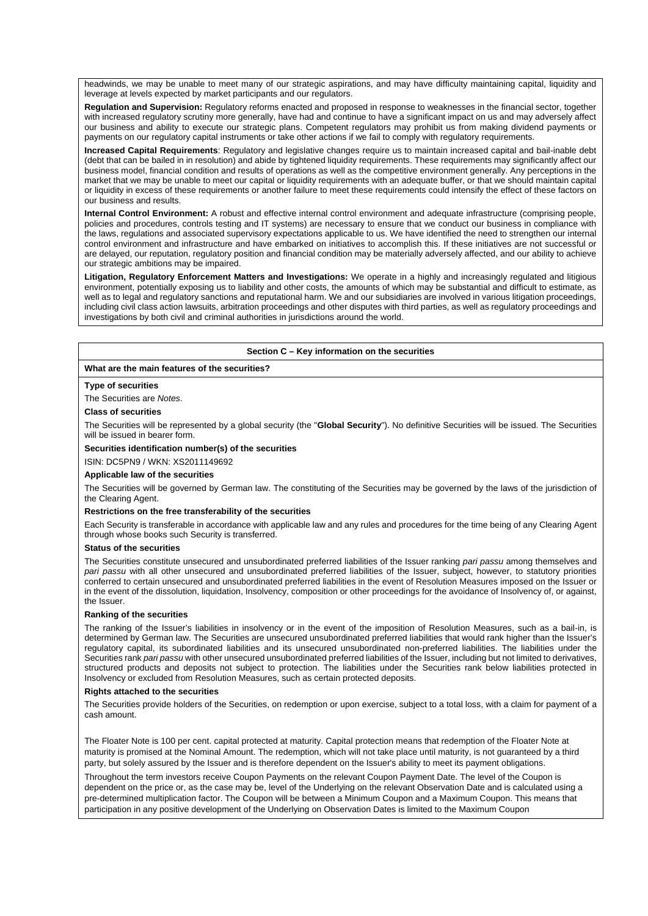headwinds, we may be unable to meet many of our strategic aspirations, and may have difficulty maintaining capital, liquidity and leverage at levels expected by market participants and our regulators.

**Regulation and Supervision:** Regulatory reforms enacted and proposed in response to weaknesses in the financial sector, together with increased regulatory scrutiny more generally, have had and continue to have a significant impact on us and may adversely affect our business and ability to execute our strategic plans. Competent regulators may prohibit us from making dividend payments or payments on our regulatory capital instruments or take other actions if we fail to comply with regulatory requirements.

**Increased Capital Requirements**: Regulatory and legislative changes require us to maintain increased capital and bail-inable debt (debt that can be bailed in in resolution) and abide by tightened liquidity requirements. These requirements may significantly affect our business model, financial condition and results of operations as well as the competitive environment generally. Any perceptions in the market that we may be unable to meet our capital or liquidity requirements with an adequate buffer, or that we should maintain capital or liquidity in excess of these requirements or another failure to meet these requirements could intensify the effect of these factors on our business and results.

**Internal Control Environment:** A robust and effective internal control environment and adequate infrastructure (comprising people, policies and procedures, controls testing and IT systems) are necessary to ensure that we conduct our business in compliance with the laws, regulations and associated supervisory expectations applicable to us. We have identified the need to strengthen our internal control environment and infrastructure and have embarked on initiatives to accomplish this. If these initiatives are not successful or are delayed, our reputation, regulatory position and financial condition may be materially adversely affected, and our ability to achieve our strategic ambitions may be impaired.

**Litigation, Regulatory Enforcement Matters and Investigations:** We operate in a highly and increasingly regulated and litigious environment, potentially exposing us to liability and other costs, the amounts of which may be substantial and difficult to estimate, as well as to legal and regulatory sanctions and reputational harm. We and our subsidiaries are involved in various litigation proceedings, including civil class action lawsuits, arbitration proceedings and other disputes with third parties, as well as regulatory proceedings and investigations by both civil and criminal authorities in jurisdictions around the world.

### **Section C – Key information on the securities**

### **What are the main features of the securities?**

#### **Type of securities**

#### The Securities are *Notes*.

#### **Class of securities**

The Securities will be represented by a global security (the "**Global Security**"). No definitive Securities will be issued. The Securities will be issued in bearer form.

### **Securities identification number(s) of the securities**

ISIN: DC5PN9 / WKN: XS2011149692

#### **Applicable law of the securities**

The Securities will be governed by German law. The constituting of the Securities may be governed by the laws of the jurisdiction of the Clearing Agent.

#### **Restrictions on the free transferability of the securities**

Each Security is transferable in accordance with applicable law and any rules and procedures for the time being of any Clearing Agent through whose books such Security is transferred.

#### **Status of the securities**

The Securities constitute unsecured and unsubordinated preferred liabilities of the Issuer ranking *pari passu* among themselves and *pari passu* with all other unsecured and unsubordinated preferred liabilities of the Issuer, subject, however, to statutory priorities conferred to certain unsecured and unsubordinated preferred liabilities in the event of Resolution Measures imposed on the Issuer or in the event of the dissolution, liquidation, Insolvency, composition or other proceedings for the avoidance of Insolvency of, or against, the Issuer.

#### **Ranking of the securities**

The ranking of the Issuer's liabilities in insolvency or in the event of the imposition of Resolution Measures, such as a bail-in, is determined by German law. The Securities are unsecured unsubordinated preferred liabilities that would rank higher than the Issuer's regulatory capital, its subordinated liabilities and its unsecured unsubordinated non-preferred liabilities. The liabilities under the Securities rank *pari passu* with other unsecured unsubordinated preferred liabilities of the Issuer, including but not limited to derivatives, structured products and deposits not subject to protection. The liabilities under the Securities rank below liabilities protected in Insolvency or excluded from Resolution Measures, such as certain protected deposits.

#### **Rights attached to the securities**

The Securities provide holders of the Securities, on redemption or upon exercise, subject to a total loss, with a claim for payment of a cash amount.

The Floater Note is 100 per cent. capital protected at maturity. Capital protection means that redemption of the Floater Note at maturity is promised at the Nominal Amount. The redemption, which will not take place until maturity, is not guaranteed by a third party, but solely assured by the Issuer and is therefore dependent on the Issuer's ability to meet its payment obligations.

Throughout the term investors receive Coupon Payments on the relevant Coupon Payment Date. The level of the Coupon is dependent on the price or, as the case may be, level of the Underlying on the relevant Observation Date and is calculated using a pre-determined multiplication factor. The Coupon will be between a Minimum Coupon and a Maximum Coupon. This means that participation in any positive development of the Underlying on Observation Dates is limited to the Maximum Coupon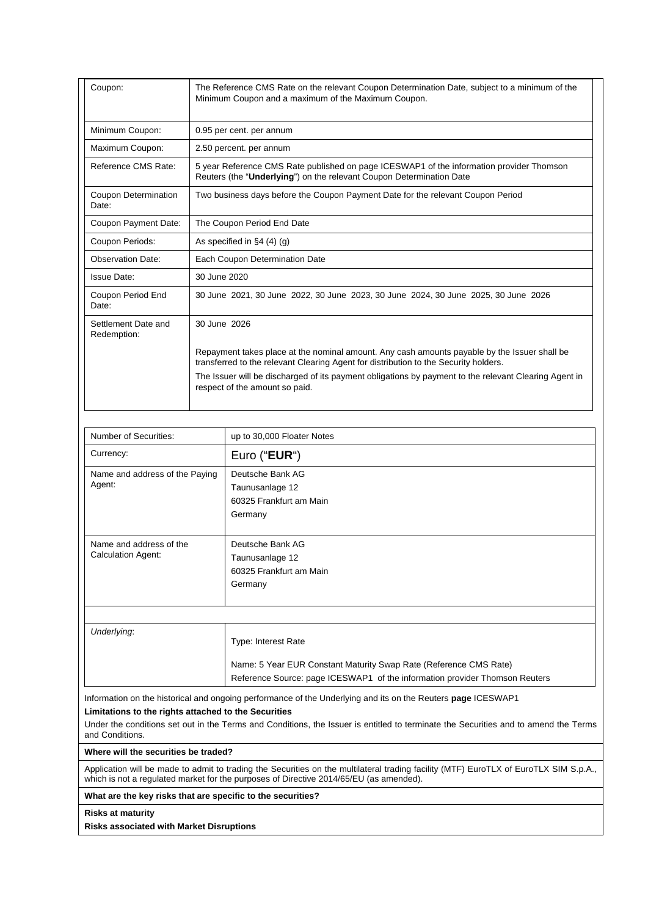| Coupon:                              | The Reference CMS Rate on the relevant Coupon Determination Date, subject to a minimum of the<br>Minimum Coupon and a maximum of the Maximum Coupon.                                 |
|--------------------------------------|--------------------------------------------------------------------------------------------------------------------------------------------------------------------------------------|
| Minimum Coupon:                      | 0.95 per cent. per annum                                                                                                                                                             |
| Maximum Coupon:                      | 2.50 percent. per annum                                                                                                                                                              |
| Reference CMS Rate:                  | 5 year Reference CMS Rate published on page ICESWAP1 of the information provider Thomson<br>Reuters (the "Underlying") on the relevant Coupon Determination Date                     |
| <b>Coupon Determination</b><br>Date: | Two business days before the Coupon Payment Date for the relevant Coupon Period                                                                                                      |
| Coupon Payment Date:                 | The Coupon Period End Date                                                                                                                                                           |
| Coupon Periods:                      | As specified in $\S4(4)(q)$                                                                                                                                                          |
| <b>Observation Date:</b>             | Each Coupon Determination Date                                                                                                                                                       |
| <b>Issue Date:</b>                   | 30 June 2020                                                                                                                                                                         |
| Coupon Period End<br>Date:           | 30 June 2021, 30 June 2022, 30 June 2023, 30 June 2024, 30 June 2025, 30 June 2026                                                                                                   |
| Settlement Date and<br>Redemption:   | 30 June 2026                                                                                                                                                                         |
|                                      | Repayment takes place at the nominal amount. Any cash amounts payable by the Issuer shall be<br>transferred to the relevant Clearing Agent for distribution to the Security holders. |
|                                      | The Issuer will be discharged of its payment obligations by payment to the relevant Clearing Agent in<br>respect of the amount so paid.                                              |

| Number of Securities:                                                   | up to 30,000 Floater Notes                                                                                                                                                                                                                          |
|-------------------------------------------------------------------------|-----------------------------------------------------------------------------------------------------------------------------------------------------------------------------------------------------------------------------------------------------|
| Currency:                                                               | Euro ("EUR")                                                                                                                                                                                                                                        |
| Name and address of the Paying<br>Agent:                                | Deutsche Bank AG<br>Taunusanlage 12<br>60325 Frankfurt am Main<br>Germany                                                                                                                                                                           |
| Name and address of the<br><b>Calculation Agent:</b>                    | Deutsche Bank AG<br>Taunusanlage 12<br>60325 Frankfurt am Main<br>Germany                                                                                                                                                                           |
| Underlying:                                                             | Type: Interest Rate<br>Name: 5 Year EUR Constant Maturity Swap Rate (Reference CMS Rate)<br>Reference Source: page ICESWAP1 of the information provider Thomson Reuters                                                                             |
| Limitations to the rights attached to the Securities<br>and Conditions. | Information on the historical and ongoing performance of the Underlying and its on the Reuters page ICESWAP1<br>Under the conditions set out in the Terms and Conditions, the Issuer is entitled to terminate the Securities and to amend the Terms |

**Where will the securities be traded?**

Application will be made to admit to trading the Securities on the multilateral trading facility (MTF) EuroTLX of EuroTLX SIM S.p.A., which is not a regulated market for the purposes of Directive 2014/65/EU (as amended).

**What are the key risks that are specific to the securities?**

**Risks at maturity**

**Risks associated with Market Disruptions**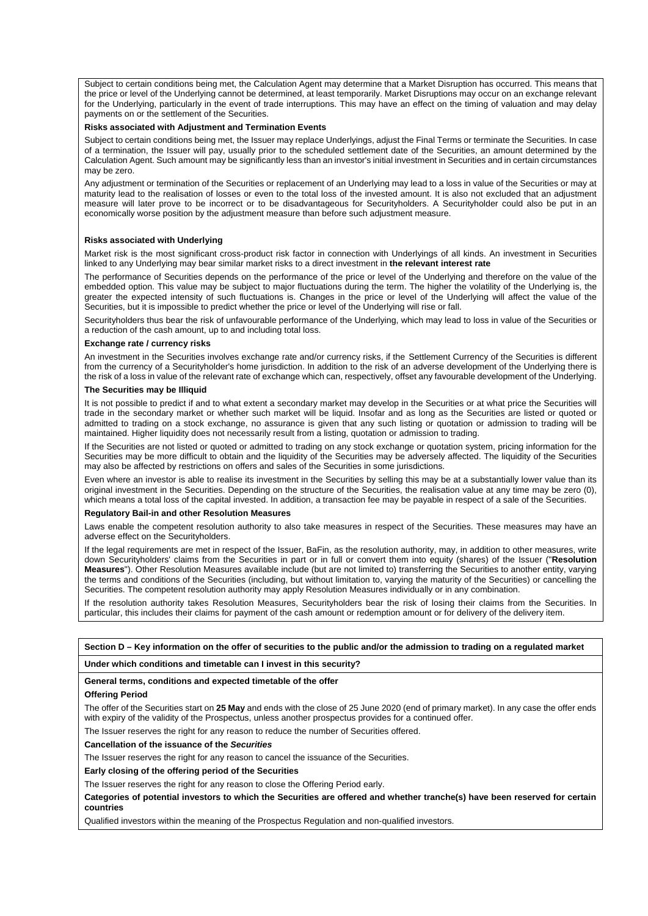Subject to certain conditions being met, the Calculation Agent may determine that a Market Disruption has occurred. This means that the price or level of the Underlying cannot be determined, at least temporarily. Market Disruptions may occur on an exchange relevant for the Underlying, particularly in the event of trade interruptions. This may have an effect on the timing of valuation and may delay payments on or the settlement of the Securities.

#### **Risks associated with Adjustment and Termination Events**

Subject to certain conditions being met, the Issuer may replace Underlyings, adjust the Final Terms or terminate the Securities. In case of a termination, the Issuer will pay, usually prior to the scheduled settlement date of the Securities, an amount determined by the Calculation Agent. Such amount may be significantly less than an investor's initial investment in Securities and in certain circumstances may be zero.

Any adjustment or termination of the Securities or replacement of an Underlying may lead to a loss in value of the Securities or may at maturity lead to the realisation of losses or even to the total loss of the invested amount. It is also not excluded that an adjustment measure will later prove to be incorrect or to be disadvantageous for Securityholders. A Securityholder could also be put in an economically worse position by the adjustment measure than before such adjustment measure.

#### **Risks associated with Underlying**

Market risk is the most significant cross-product risk factor in connection with Underlyings of all kinds. An investment in Securities linked to any Underlying may bear similar market risks to a direct investment in **the relevant interest rate**

The performance of Securities depends on the performance of the price or level of the Underlying and therefore on the value of the embedded option. This value may be subject to major fluctuations during the term. The higher the volatility of the Underlying is, the greater the expected intensity of such fluctuations is. Changes in the price or level of the Underlying will affect the value of the Securities, but it is impossible to predict whether the price or level of the Underlying will rise or fall.

Securityholders thus bear the risk of unfavourable performance of the Underlying, which may lead to loss in value of the Securities or a reduction of the cash amount, up to and including total loss.

### **Exchange rate / currency risks**

An investment in the Securities involves exchange rate and/or currency risks, if the Settlement Currency of the Securities is different from the currency of a Securityholder's home jurisdiction. In addition to the risk of an adverse development of the Underlying there is the risk of a loss in value of the relevant rate of exchange which can, respectively, offset any favourable development of the Underlying.

#### **The Securities may be Illiquid**

It is not possible to predict if and to what extent a secondary market may develop in the Securities or at what price the Securities will trade in the secondary market or whether such market will be liquid. Insofar and as long as the Securities are listed or quoted or admitted to trading on a stock exchange, no assurance is given that any such listing or quotation or admission to trading will be maintained. Higher liquidity does not necessarily result from a listing, quotation or admission to trading.

If the Securities are not listed or quoted or admitted to trading on any stock exchange or quotation system, pricing information for the Securities may be more difficult to obtain and the liquidity of the Securities may be adversely affected. The liquidity of the Securities may also be affected by restrictions on offers and sales of the Securities in some jurisdictions.

Even where an investor is able to realise its investment in the Securities by selling this may be at a substantially lower value than its original investment in the Securities. Depending on the structure of the Securities, the realisation value at any time may be zero (0), which means a total loss of the capital invested. In addition, a transaction fee may be payable in respect of a sale of the Securities.

#### **Regulatory Bail-in and other Resolution Measures**

Laws enable the competent resolution authority to also take measures in respect of the Securities. These measures may have an adverse effect on the Securityholders.

If the legal requirements are met in respect of the Issuer, BaFin, as the resolution authority, may, in addition to other measures, write down Securityholders' claims from the Securities in part or in full or convert them into equity (shares) of the Issuer ("**Resolution Measures**"). Other Resolution Measures available include (but are not limited to) transferring the Securities to another entity, varying the terms and conditions of the Securities (including, but without limitation to, varying the maturity of the Securities) or cancelling the Securities. The competent resolution authority may apply Resolution Measures individually or in any combination.

If the resolution authority takes Resolution Measures, Securityholders bear the risk of losing their claims from the Securities. In particular, this includes their claims for payment of the cash amount or redemption amount or for delivery of the delivery item.

### **Section D – Key information on the offer of securities to the public and/or the admission to trading on a regulated market**

#### **Under which conditions and timetable can I invest in this security?**

### **General terms, conditions and expected timetable of the offer**

#### **Offering Period**

The offer of the Securities start on **25 May** and ends with the close of 25 June 2020 (end of primary market). In any case the offer ends with expiry of the validity of the Prospectus, unless another prospectus provides for a continued offer.

The Issuer reserves the right for any reason to reduce the number of Securities offered.

#### **Cancellation of the issuance of the** *Securities*

The Issuer reserves the right for any reason to cancel the issuance of the Securities.

#### **Early closing of the offering period of the Securities**

The Issuer reserves the right for any reason to close the Offering Period early.

**Categories of potential investors to which the Securities are offered and whether tranche(s) have been reserved for certain countries**

Qualified investors within the meaning of the Prospectus Regulation and non-qualified investors.